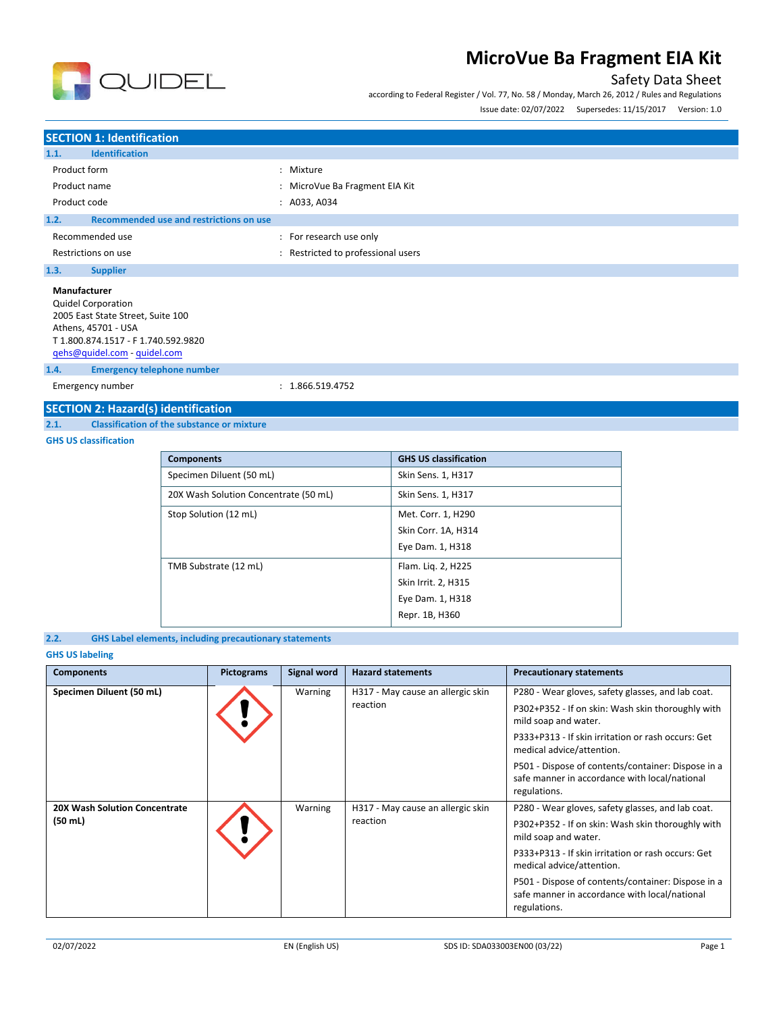

## Safety Data Sheet

according to Federal Register / Vol. 77, No. 58 / Monday, March 26, 2012 / Rules and Regulations

Issue date: 02/07/2022 Supersedes: 11/15/2017 Version: 1.0

## **SECTION 1: Identification**

| 1.1.<br><b>Identification</b>                                                                                                                |                                  |
|----------------------------------------------------------------------------------------------------------------------------------------------|----------------------------------|
| Product form                                                                                                                                 | : Mixture                        |
| Product name                                                                                                                                 | : MicroVue Ba Fragment EIA Kit   |
| Product code                                                                                                                                 | : A033, A034                     |
| Recommended use and restrictions on use<br>1.2.                                                                                              |                                  |
| Recommended use                                                                                                                              | : For research use only          |
| Restrictions on use                                                                                                                          | Restricted to professional users |
| 1.3.<br><b>Supplier</b>                                                                                                                      |                                  |
| Manufacturer<br><b>Quidel Corporation</b><br>2005 East State Street, Suite 100<br>Athens, 45701 - USA<br>T 1.800.874.1517 - F 1.740.592.9820 |                                  |

[qehs@quidel.com](mailto:qehs@quidel.com) - [quidel.com](http://quidel.com/)

**1.4. Emergency telephone number**

Emergency number : 1.866.519.4752

# **SECTION 2: Hazard(s) identification**<br>2.1. Classification of the substance or

**2.1. Classification of the substance or mixture**

### **GHS US classification**

| <b>Components</b>                     | <b>GHS US classification</b> |
|---------------------------------------|------------------------------|
| Specimen Diluent (50 mL)              | Skin Sens. 1, H317           |
| 20X Wash Solution Concentrate (50 mL) | Skin Sens. 1, H317           |
| Stop Solution (12 mL)                 | Met. Corr. 1, H290           |
|                                       | Skin Corr. 1A, H314          |
|                                       | Eye Dam. 1, H318             |
| TMB Substrate (12 mL)                 | Flam. Lig. 2, H225           |
|                                       | Skin Irrit. 2, H315          |
|                                       | Eye Dam. 1, H318             |
|                                       | Repr. 1B, H360               |
|                                       |                              |

### **2.2. GHS Label elements, including precautionary statements**

### **GHS US labeling**

| <b>Components</b>                                         | <b>Pictograms</b> | Signal word | <b>Hazard statements</b>                      | <b>Precautionary statements</b>                                                                                                                                                                                                                                                                                                          |  |
|-----------------------------------------------------------|-------------------|-------------|-----------------------------------------------|------------------------------------------------------------------------------------------------------------------------------------------------------------------------------------------------------------------------------------------------------------------------------------------------------------------------------------------|--|
| Specimen Diluent (50 mL)                                  |                   | Warning     | H317 - May cause an allergic skin<br>reaction | P280 - Wear gloves, safety glasses, and lab coat.<br>P302+P352 - If on skin: Wash skin thoroughly with<br>mild soap and water.<br>P333+P313 - If skin irritation or rash occurs: Get<br>medical advice/attention.<br>P501 - Dispose of contents/container: Dispose in a<br>safe manner in accordance with local/national<br>regulations. |  |
| <b>20X Wash Solution Concentrate</b><br>$(50 \text{ mL})$ |                   | Warning     | H317 - May cause an allergic skin<br>reaction | P280 - Wear gloves, safety glasses, and lab coat.<br>P302+P352 - If on skin: Wash skin thoroughly with<br>mild soap and water.<br>P333+P313 - If skin irritation or rash occurs: Get<br>medical advice/attention.<br>P501 - Dispose of contents/container: Dispose in a<br>safe manner in accordance with local/national<br>regulations. |  |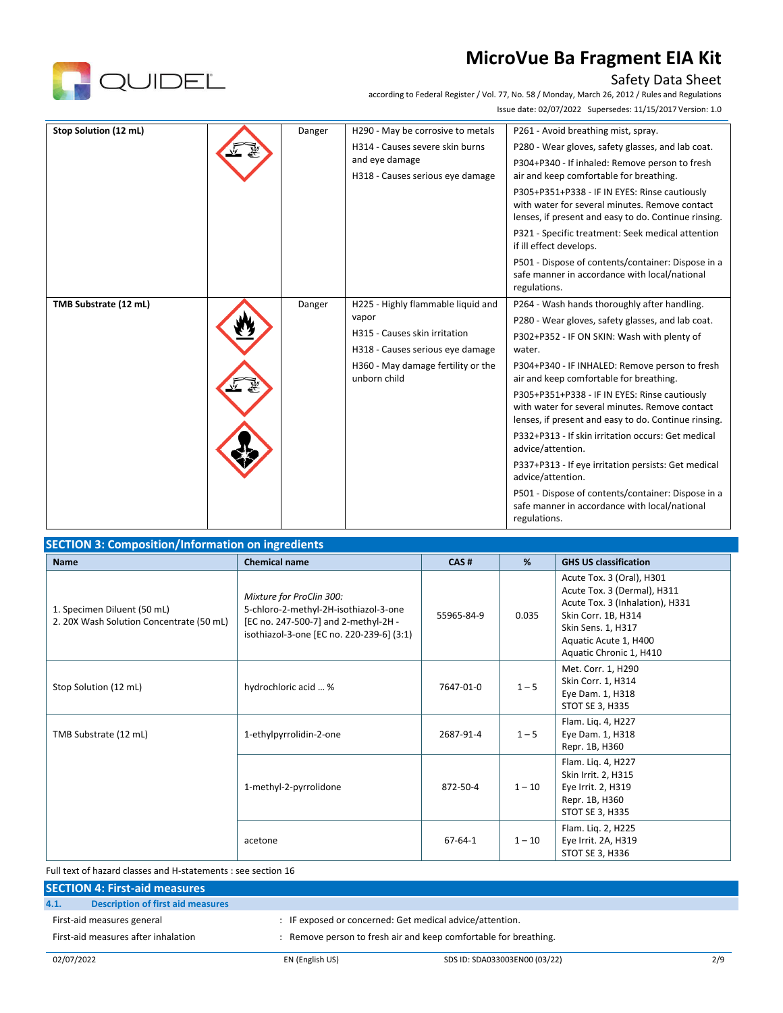

## Safety Data Sheet

according to Federal Register / Vol. 77, No. 58 / Mor

| tegistel / VOI. 77, NO. 36 / MOHuday, Martii 20, 2012 / Kules and Regulations |
|-------------------------------------------------------------------------------|
| Issue date: 02/07/2022 Supersedes: 11/15/2017 Version: 1.0                    |

| Stop Solution (12 mL) | Danger | H290 - May be corrosive to metals<br>H314 - Causes severe skin burns<br>and eye damage<br>H318 - Causes serious eye damage                                             | P261 - Avoid breathing mist, spray.<br>P280 - Wear gloves, safety glasses, and lab coat.<br>P304+P340 - If inhaled: Remove person to fresh<br>air and keep comfortable for breathing.<br>P305+P351+P338 - IF IN EYES: Rinse cautiously<br>with water for several minutes. Remove contact<br>lenses, if present and easy to do. Continue rinsing.<br>P321 - Specific treatment: Seek medical attention<br>if ill effect develops.<br>P501 - Dispose of contents/container: Dispose in a<br>safe manner in accordance with local/national<br>regulations.                                                                                                                                          |
|-----------------------|--------|------------------------------------------------------------------------------------------------------------------------------------------------------------------------|--------------------------------------------------------------------------------------------------------------------------------------------------------------------------------------------------------------------------------------------------------------------------------------------------------------------------------------------------------------------------------------------------------------------------------------------------------------------------------------------------------------------------------------------------------------------------------------------------------------------------------------------------------------------------------------------------|
| TMB Substrate (12 mL) | Danger | H225 - Highly flammable liquid and<br>vapor<br>H315 - Causes skin irritation<br>H318 - Causes serious eye damage<br>H360 - May damage fertility or the<br>unborn child | P264 - Wash hands thoroughly after handling.<br>P280 - Wear gloves, safety glasses, and lab coat.<br>P302+P352 - IF ON SKIN: Wash with plenty of<br>water.<br>P304+P340 - IF INHALED: Remove person to fresh<br>air and keep comfortable for breathing.<br>P305+P351+P338 - IF IN EYES: Rinse cautiously<br>with water for several minutes. Remove contact<br>lenses, if present and easy to do. Continue rinsing.<br>P332+P313 - If skin irritation occurs: Get medical<br>advice/attention.<br>P337+P313 - If eye irritation persists: Get medical<br>advice/attention.<br>P501 - Dispose of contents/container: Dispose in a<br>safe manner in accordance with local/national<br>regulations. |

| <b>Name</b>                                                             | <b>Chemical name</b>                                                                                                                                   | CAS#       | %        | <b>GHS US classification</b>                                                                                                                                                                 |
|-------------------------------------------------------------------------|--------------------------------------------------------------------------------------------------------------------------------------------------------|------------|----------|----------------------------------------------------------------------------------------------------------------------------------------------------------------------------------------------|
| 1. Specimen Diluent (50 mL)<br>2. 20X Wash Solution Concentrate (50 mL) | Mixture for ProClin 300:<br>5-chloro-2-methyl-2H-isothiazol-3-one<br>[EC no. 247-500-7] and 2-methyl-2H -<br>isothiazol-3-one [EC no. 220-239-6] (3:1) | 55965-84-9 | 0.035    | Acute Tox. 3 (Oral), H301<br>Acute Tox. 3 (Dermal), H311<br>Acute Tox. 3 (Inhalation), H331<br>Skin Corr. 1B, H314<br>Skin Sens. 1, H317<br>Aquatic Acute 1, H400<br>Aquatic Chronic 1, H410 |
| Stop Solution (12 mL)                                                   | hydrochloric acid  %                                                                                                                                   | 7647-01-0  | $1 - 5$  | Met. Corr. 1, H290<br>Skin Corr. 1, H314<br>Eye Dam. 1, H318<br>STOT SE 3, H335                                                                                                              |
| TMB Substrate (12 mL)                                                   | 1-ethylpyrrolidin-2-one                                                                                                                                | 2687-91-4  | $1 - 5$  | Flam. Liq. 4, H227<br>Eye Dam. 1, H318<br>Repr. 1B, H360                                                                                                                                     |
|                                                                         | 1-methyl-2-pyrrolidone                                                                                                                                 | 872-50-4   | $1 - 10$ | Flam. Lig. 4, H227<br>Skin Irrit. 2, H315<br>Eye Irrit. 2, H319<br>Repr. 1B, H360<br>STOT SE 3, H335                                                                                         |
|                                                                         | acetone                                                                                                                                                | 67-64-1    | $1 - 10$ | Flam. Lig. 2, H225<br>Eye Irrit. 2A, H319<br>STOT SE 3, H336                                                                                                                                 |

Full text of hazard classes and H-statements : see section 16

### **SECTION 4: First-aid measures**

| 4.1. | <b>Description of first aid measures</b> |  |  |
|------|------------------------------------------|--|--|
|      |                                          |  |  |

First-aid measures general  $\qquad \qquad : \qquad$  IF exposed or concerned: Get medical advice/attention.

First-aid measures after inhalation  $\cdot$  Remove person to fresh air and keep comfortable for breathing.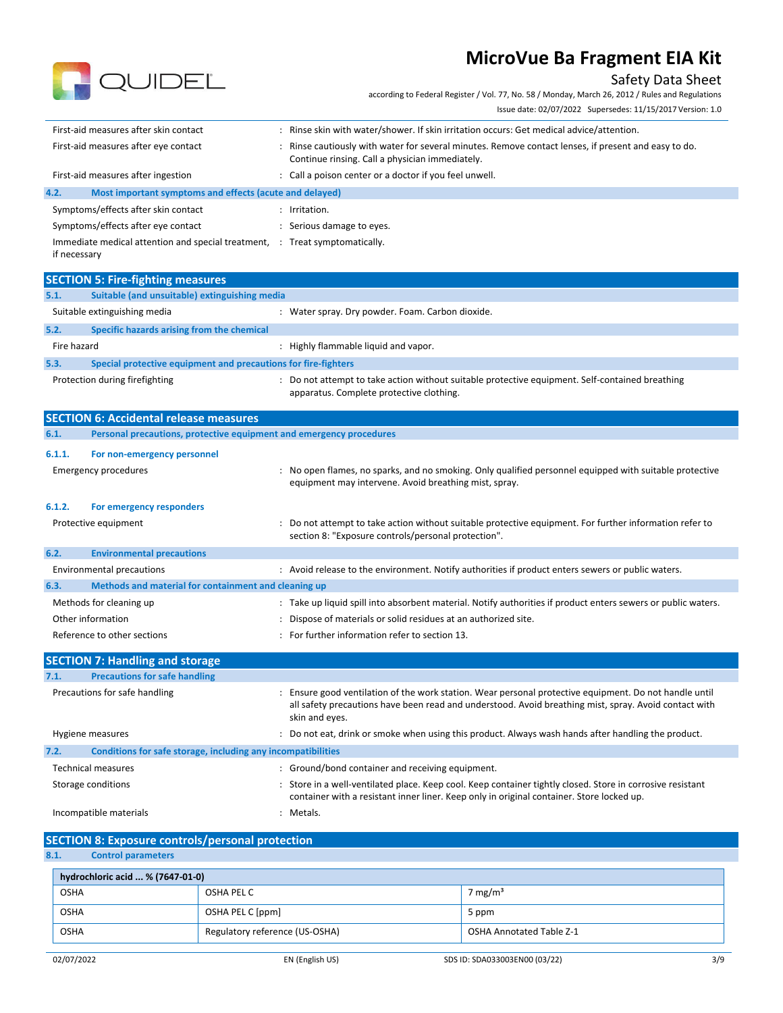

## Safety Data Sheet

according to Federal Register / Vol. 77, No. 58 / Monday, March 26, 2012 / Rules and Regulations Issue date: 02/07/2022 Supersedes: 11/15/2017 Version: 1.0

| First-aid measures after skin contact                                | Rinse skin with water/shower. If skin irritation occurs: Get medical advice/attention.                                                                |  |
|----------------------------------------------------------------------|-------------------------------------------------------------------------------------------------------------------------------------------------------|--|
| First-aid measures after eye contact                                 | Rinse cautiously with water for several minutes. Remove contact lenses, if present and easy to do.<br>Continue rinsing. Call a physician immediately. |  |
| First-aid measures after ingestion                                   | : Call a poison center or a doctor if you feel unwell.                                                                                                |  |
| 4.2.<br>Most important symptoms and effects (acute and delayed)      |                                                                                                                                                       |  |
| Symptoms/effects after skin contact                                  | $:$ Irritation.                                                                                                                                       |  |
| Symptoms/effects after eye contact                                   | Serious damage to eyes.                                                                                                                               |  |
| Immediate medical attention and special treatment, :<br>if necessary | Treat symptomatically.                                                                                                                                |  |

|             | <b>SECTION 5: Fire-fighting measures</b>                       |                                                                                                                                           |
|-------------|----------------------------------------------------------------|-------------------------------------------------------------------------------------------------------------------------------------------|
| 5.1.        | Suitable (and unsuitable) extinguishing media                  |                                                                                                                                           |
|             | Suitable extinguishing media                                   | Water spray. Dry powder. Foam. Carbon dioxide.                                                                                            |
| 5.2.        | Specific hazards arising from the chemical                     |                                                                                                                                           |
| Fire hazard |                                                                | Highly flammable liquid and vapor.                                                                                                        |
| 5.3.        | Special protective equipment and precautions for fire-fighters |                                                                                                                                           |
|             | Protection during firefighting                                 | Do not attempt to take action without suitable protective equipment. Self-contained breathing<br>apparatus. Complete protective clothing. |

|                         | <b>SECTION 6: Accidental release measures</b>                       |                                                                                                                                                                  |  |  |  |
|-------------------------|---------------------------------------------------------------------|------------------------------------------------------------------------------------------------------------------------------------------------------------------|--|--|--|
| 6.1.                    | Personal precautions, protective equipment and emergency procedures |                                                                                                                                                                  |  |  |  |
| 6.1.1.                  | For non-emergency personnel                                         |                                                                                                                                                                  |  |  |  |
|                         | <b>Emergency procedures</b>                                         | : No open flames, no sparks, and no smoking. Only qualified personnel equipped with suitable protective<br>equipment may intervene. Avoid breathing mist, spray. |  |  |  |
| 6.1.2.                  | For emergency responders                                            |                                                                                                                                                                  |  |  |  |
|                         | Protective equipment                                                | Do not attempt to take action without suitable protective equipment. For further information refer to<br>section 8: "Exposure controls/personal protection".     |  |  |  |
| 6.2.                    | <b>Environmental precautions</b>                                    |                                                                                                                                                                  |  |  |  |
|                         | Environmental precautions                                           | : Avoid release to the environment. Notify authorities if product enters sewers or public waters.                                                                |  |  |  |
| 6.3.                    | Methods and material for containment and cleaning up                |                                                                                                                                                                  |  |  |  |
| Methods for cleaning up |                                                                     | : Take up liquid spill into absorbent material. Notify authorities if product enters sewers or public waters.                                                    |  |  |  |
| Other information       |                                                                     | Dispose of materials or solid residues at an authorized site.                                                                                                    |  |  |  |
|                         | Reference to other sections                                         | : For further information refer to section 13.                                                                                                                   |  |  |  |
|                         | <b>SECTION 7: Handling and storage</b>                              |                                                                                                                                                                  |  |  |  |

| 7.1.                      | <b>Precautions for safe handling</b>                         |                                                                                                                                                                                                                                 |  |
|---------------------------|--------------------------------------------------------------|---------------------------------------------------------------------------------------------------------------------------------------------------------------------------------------------------------------------------------|--|
|                           | Precautions for safe handling                                | Ensure good ventilation of the work station. Wear personal protective equipment. Do not handle until<br>all safety precautions have been read and understood. Avoid breathing mist, spray. Avoid contact with<br>skin and eyes. |  |
| Hygiene measures          |                                                              | : Do not eat, drink or smoke when using this product. Always wash hands after handling the product.                                                                                                                             |  |
| 7.2.                      | Conditions for safe storage, including any incompatibilities |                                                                                                                                                                                                                                 |  |
| <b>Technical measures</b> |                                                              | : Ground/bond container and receiving equipment.                                                                                                                                                                                |  |
| Storage conditions        |                                                              | : Store in a well-ventilated place. Keep cool. Keep container tightly closed. Store in corrosive resistant<br>container with a resistant inner liner. Keep only in original container. Store locked up.                         |  |
| Incompatible materials    |                                                              | Metals.                                                                                                                                                                                                                         |  |

|  |  | <b>SECTION 8: Exposure controls/personal protection</b> |
|--|--|---------------------------------------------------------|
|  |  |                                                         |

**8.1. Control parameters**

| hydrochloric acid  % (7647-01-0)                                          |                  |       |
|---------------------------------------------------------------------------|------------------|-------|
| 7 mg/m <sup>3</sup><br>OSHA<br>OSHA PEL C                                 |                  |       |
| <b>OSHA</b>                                                               | OSHA PEL C [ppm] | 5 ppm |
| Regulatory reference (US-OSHA)<br><b>OSHA Annotated Table Z-1</b><br>OSHA |                  |       |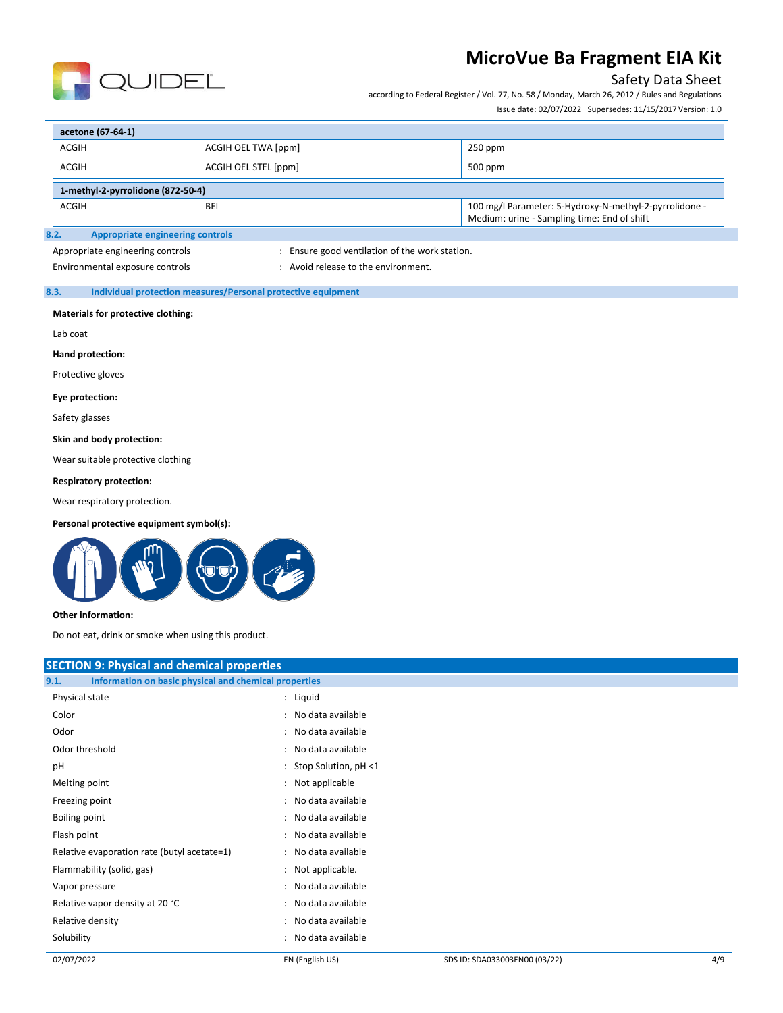

## Safety Data Sheet

according to Federal Register / Vol. 77, No. 58 / Monday, March 26, 2012 / Rules and Regulations

Issue date: 02/07/2022 Supersedes: 11/15/2017 Version: 1.0

| acetone (67-64-1)                                |     |                                                                                                       |  |
|--------------------------------------------------|-----|-------------------------------------------------------------------------------------------------------|--|
| ACGIH OEL TWA [ppm]<br><b>ACGIH</b><br>$250$ ppm |     |                                                                                                       |  |
| ACGIH OEL STEL [ppm]<br><b>ACGIH</b><br>500 ppm  |     |                                                                                                       |  |
| 1-methyl-2-pyrrolidone (872-50-4)                |     |                                                                                                       |  |
| <b>ACGIH</b>                                     | BEI | 100 mg/l Parameter: 5-Hydroxy-N-methyl-2-pyrrolidone -<br>Medium: urine - Sampling time: End of shift |  |
| Appropriate engineering controls<br>8.2.         |     |                                                                                                       |  |

#### **8.2. Appropriate engineering controls**

Appropriate engineering controls in the station of the work station.

Environmental exposure controls  $\cdot$  : Avoid release to the environment.

### **8.3. Individual protection measures/Personal protective equipment**

#### **Materials for protective clothing:**

Lab coat

**Hand protection:**

Protective gloves

#### **Eye protection:**

Safety glasses

#### **Skin and body protection:**

Wear suitable protective clothing

#### **Respiratory protection:**

Wear respiratory protection.

#### **Personal protective equipment symbol(s):**



#### **Other information:**

Do not eat, drink or smoke when using this product.

| <b>SECTION 9: Physical and chemical properties</b>            |                        |  |
|---------------------------------------------------------------|------------------------|--|
| Information on basic physical and chemical properties<br>9.1. |                        |  |
| Physical state                                                | : Liquid               |  |
| Color                                                         | : No data available    |  |
| Odor                                                          | : No data available    |  |
| Odor threshold                                                | : No data available    |  |
| pH                                                            | : Stop Solution, pH <1 |  |
| Melting point                                                 | : Not applicable       |  |
| Freezing point                                                | : No data available    |  |
| Boiling point                                                 | : No data available    |  |
| Flash point                                                   | : No data available    |  |
| Relative evaporation rate (butyl acetate=1)                   | : No data available    |  |
| Flammability (solid, gas)                                     | : Not applicable.      |  |
| Vapor pressure                                                | : No data available    |  |
| Relative vapor density at 20 °C                               | : No data available    |  |
| Relative density                                              | : No data available    |  |
| Solubility                                                    | : No data available    |  |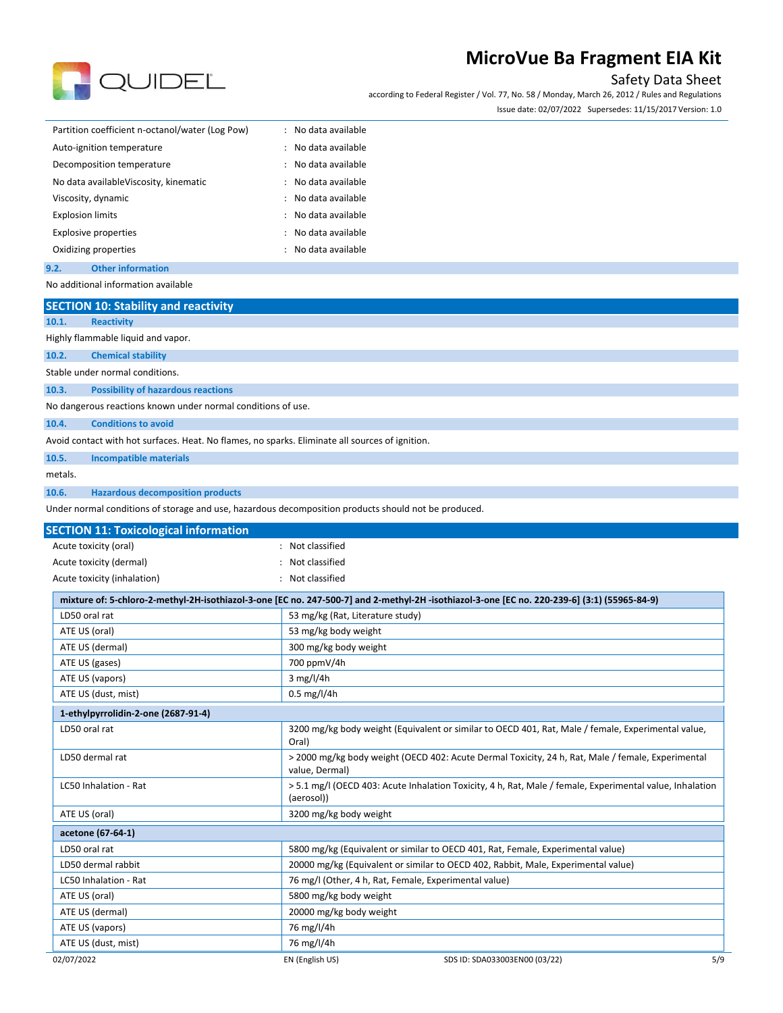

## Safety Data Sheet

according to Federal Register / Vol. 77, No. 58 / Monday, March 26, 2012 / Rules and Regulations Issue date: 02/07/2022 Supersedes: 11/15/2017 Version: 1.0

| Partition coefficient n-octanol/water (Log Pow) | : No data available |
|-------------------------------------------------|---------------------|
| Auto-ignition temperature                       | : No data available |
| Decomposition temperature                       | : No data available |
| No data availableViscosity, kinematic           | : No data available |
| Viscosity, dynamic                              | : No data available |
| <b>Explosion limits</b>                         | : No data available |
| <b>Explosive properties</b>                     | : No data available |
| Oxidizing properties                            | : No data available |
| Other information<br>9.2.                       |                     |

No additional information available

| <b>SECTION 10: Stability and reactivity</b><br>10.1.<br><b>Reactivity</b><br>Highly flammable liquid and vapor.<br>10.2.<br><b>Chemical stability</b><br>Stable under normal conditions.<br>10.3.<br><b>Possibility of hazardous reactions</b><br>No dangerous reactions known under normal conditions of use.<br><b>Conditions to avoid</b><br>10.4.<br>Avoid contact with hot surfaces. Heat. No flames, no sparks. Eliminate all sources of ignition.<br><b>Incompatible materials</b><br>10.5.<br>metals.<br><b>Hazardous decomposition products</b><br>10.6.<br>Under normal conditions of storage and use, hazardous decomposition products should not be produced.<br><b>SECTION 11: Toxicological information</b><br>Acute toxicity (oral)<br>: Not classified<br>Acute toxicity (dermal)<br>Not classified<br>Acute toxicity (inhalation)<br>: Not classified<br>mixture of: 5-chloro-2-methyl-2H-isothiazol-3-one [EC no. 247-500-7] and 2-methyl-2H-isothiazol-3-one [EC no. 220-239-6] (3:1) (55965-84-9)<br>LD50 oral rat<br>53 mg/kg (Rat, Literature study)<br>53 mg/kg body weight<br>ATE US (oral)<br>ATE US (dermal)<br>300 mg/kg body weight<br>ATE US (gases)<br>700 ppmV/4h<br>ATE US (vapors)<br>$3$ mg/l/4h<br>$0.5 \,\mathrm{mg}/l/4h$<br>ATE US (dust, mist) |
|---------------------------------------------------------------------------------------------------------------------------------------------------------------------------------------------------------------------------------------------------------------------------------------------------------------------------------------------------------------------------------------------------------------------------------------------------------------------------------------------------------------------------------------------------------------------------------------------------------------------------------------------------------------------------------------------------------------------------------------------------------------------------------------------------------------------------------------------------------------------------------------------------------------------------------------------------------------------------------------------------------------------------------------------------------------------------------------------------------------------------------------------------------------------------------------------------------------------------------------------------------------------------------------|
|                                                                                                                                                                                                                                                                                                                                                                                                                                                                                                                                                                                                                                                                                                                                                                                                                                                                                                                                                                                                                                                                                                                                                                                                                                                                                       |
|                                                                                                                                                                                                                                                                                                                                                                                                                                                                                                                                                                                                                                                                                                                                                                                                                                                                                                                                                                                                                                                                                                                                                                                                                                                                                       |
|                                                                                                                                                                                                                                                                                                                                                                                                                                                                                                                                                                                                                                                                                                                                                                                                                                                                                                                                                                                                                                                                                                                                                                                                                                                                                       |
|                                                                                                                                                                                                                                                                                                                                                                                                                                                                                                                                                                                                                                                                                                                                                                                                                                                                                                                                                                                                                                                                                                                                                                                                                                                                                       |
|                                                                                                                                                                                                                                                                                                                                                                                                                                                                                                                                                                                                                                                                                                                                                                                                                                                                                                                                                                                                                                                                                                                                                                                                                                                                                       |
|                                                                                                                                                                                                                                                                                                                                                                                                                                                                                                                                                                                                                                                                                                                                                                                                                                                                                                                                                                                                                                                                                                                                                                                                                                                                                       |
|                                                                                                                                                                                                                                                                                                                                                                                                                                                                                                                                                                                                                                                                                                                                                                                                                                                                                                                                                                                                                                                                                                                                                                                                                                                                                       |
|                                                                                                                                                                                                                                                                                                                                                                                                                                                                                                                                                                                                                                                                                                                                                                                                                                                                                                                                                                                                                                                                                                                                                                                                                                                                                       |
|                                                                                                                                                                                                                                                                                                                                                                                                                                                                                                                                                                                                                                                                                                                                                                                                                                                                                                                                                                                                                                                                                                                                                                                                                                                                                       |
|                                                                                                                                                                                                                                                                                                                                                                                                                                                                                                                                                                                                                                                                                                                                                                                                                                                                                                                                                                                                                                                                                                                                                                                                                                                                                       |
|                                                                                                                                                                                                                                                                                                                                                                                                                                                                                                                                                                                                                                                                                                                                                                                                                                                                                                                                                                                                                                                                                                                                                                                                                                                                                       |
|                                                                                                                                                                                                                                                                                                                                                                                                                                                                                                                                                                                                                                                                                                                                                                                                                                                                                                                                                                                                                                                                                                                                                                                                                                                                                       |
|                                                                                                                                                                                                                                                                                                                                                                                                                                                                                                                                                                                                                                                                                                                                                                                                                                                                                                                                                                                                                                                                                                                                                                                                                                                                                       |
|                                                                                                                                                                                                                                                                                                                                                                                                                                                                                                                                                                                                                                                                                                                                                                                                                                                                                                                                                                                                                                                                                                                                                                                                                                                                                       |
|                                                                                                                                                                                                                                                                                                                                                                                                                                                                                                                                                                                                                                                                                                                                                                                                                                                                                                                                                                                                                                                                                                                                                                                                                                                                                       |
|                                                                                                                                                                                                                                                                                                                                                                                                                                                                                                                                                                                                                                                                                                                                                                                                                                                                                                                                                                                                                                                                                                                                                                                                                                                                                       |
|                                                                                                                                                                                                                                                                                                                                                                                                                                                                                                                                                                                                                                                                                                                                                                                                                                                                                                                                                                                                                                                                                                                                                                                                                                                                                       |
|                                                                                                                                                                                                                                                                                                                                                                                                                                                                                                                                                                                                                                                                                                                                                                                                                                                                                                                                                                                                                                                                                                                                                                                                                                                                                       |
|                                                                                                                                                                                                                                                                                                                                                                                                                                                                                                                                                                                                                                                                                                                                                                                                                                                                                                                                                                                                                                                                                                                                                                                                                                                                                       |
|                                                                                                                                                                                                                                                                                                                                                                                                                                                                                                                                                                                                                                                                                                                                                                                                                                                                                                                                                                                                                                                                                                                                                                                                                                                                                       |
|                                                                                                                                                                                                                                                                                                                                                                                                                                                                                                                                                                                                                                                                                                                                                                                                                                                                                                                                                                                                                                                                                                                                                                                                                                                                                       |
|                                                                                                                                                                                                                                                                                                                                                                                                                                                                                                                                                                                                                                                                                                                                                                                                                                                                                                                                                                                                                                                                                                                                                                                                                                                                                       |
|                                                                                                                                                                                                                                                                                                                                                                                                                                                                                                                                                                                                                                                                                                                                                                                                                                                                                                                                                                                                                                                                                                                                                                                                                                                                                       |
|                                                                                                                                                                                                                                                                                                                                                                                                                                                                                                                                                                                                                                                                                                                                                                                                                                                                                                                                                                                                                                                                                                                                                                                                                                                                                       |
|                                                                                                                                                                                                                                                                                                                                                                                                                                                                                                                                                                                                                                                                                                                                                                                                                                                                                                                                                                                                                                                                                                                                                                                                                                                                                       |
| 1-ethylpyrrolidin-2-one (2687-91-4)                                                                                                                                                                                                                                                                                                                                                                                                                                                                                                                                                                                                                                                                                                                                                                                                                                                                                                                                                                                                                                                                                                                                                                                                                                                   |
| LD50 oral rat<br>3200 mg/kg body weight (Equivalent or similar to OECD 401, Rat, Male / female, Experimental value,<br>Oral)                                                                                                                                                                                                                                                                                                                                                                                                                                                                                                                                                                                                                                                                                                                                                                                                                                                                                                                                                                                                                                                                                                                                                          |
| > 2000 mg/kg body weight (OECD 402: Acute Dermal Toxicity, 24 h, Rat, Male / female, Experimental<br>LD50 dermal rat<br>value, Dermal)                                                                                                                                                                                                                                                                                                                                                                                                                                                                                                                                                                                                                                                                                                                                                                                                                                                                                                                                                                                                                                                                                                                                                |
| > 5.1 mg/l (OECD 403: Acute Inhalation Toxicity, 4 h, Rat, Male / female, Experimental value, Inhalation<br>LC50 Inhalation - Rat<br>(aerosol))                                                                                                                                                                                                                                                                                                                                                                                                                                                                                                                                                                                                                                                                                                                                                                                                                                                                                                                                                                                                                                                                                                                                       |
| ATE US (oral)<br>3200 mg/kg body weight                                                                                                                                                                                                                                                                                                                                                                                                                                                                                                                                                                                                                                                                                                                                                                                                                                                                                                                                                                                                                                                                                                                                                                                                                                               |
| acetone (67-64-1)                                                                                                                                                                                                                                                                                                                                                                                                                                                                                                                                                                                                                                                                                                                                                                                                                                                                                                                                                                                                                                                                                                                                                                                                                                                                     |
| LD50 oral rat<br>5800 mg/kg (Equivalent or similar to OECD 401, Rat, Female, Experimental value)                                                                                                                                                                                                                                                                                                                                                                                                                                                                                                                                                                                                                                                                                                                                                                                                                                                                                                                                                                                                                                                                                                                                                                                      |
| 20000 mg/kg (Equivalent or similar to OECD 402, Rabbit, Male, Experimental value)<br>LD50 dermal rabbit                                                                                                                                                                                                                                                                                                                                                                                                                                                                                                                                                                                                                                                                                                                                                                                                                                                                                                                                                                                                                                                                                                                                                                               |
| LC50 Inhalation - Rat<br>76 mg/l (Other, 4 h, Rat, Female, Experimental value)                                                                                                                                                                                                                                                                                                                                                                                                                                                                                                                                                                                                                                                                                                                                                                                                                                                                                                                                                                                                                                                                                                                                                                                                        |
| ATE US (oral)<br>5800 mg/kg body weight                                                                                                                                                                                                                                                                                                                                                                                                                                                                                                                                                                                                                                                                                                                                                                                                                                                                                                                                                                                                                                                                                                                                                                                                                                               |
| ATE US (dermal)<br>20000 mg/kg body weight                                                                                                                                                                                                                                                                                                                                                                                                                                                                                                                                                                                                                                                                                                                                                                                                                                                                                                                                                                                                                                                                                                                                                                                                                                            |
| ATE US (vapors)<br>76 mg/l/4h                                                                                                                                                                                                                                                                                                                                                                                                                                                                                                                                                                                                                                                                                                                                                                                                                                                                                                                                                                                                                                                                                                                                                                                                                                                         |
| 76 mg/l/4h<br>ATE US (dust, mist)                                                                                                                                                                                                                                                                                                                                                                                                                                                                                                                                                                                                                                                                                                                                                                                                                                                                                                                                                                                                                                                                                                                                                                                                                                                     |
| 02/07/2022<br>EN (English US)<br>SDS ID: SDA033003EN00 (03/22)                                                                                                                                                                                                                                                                                                                                                                                                                                                                                                                                                                                                                                                                                                                                                                                                                                                                                                                                                                                                                                                                                                                                                                                                                        |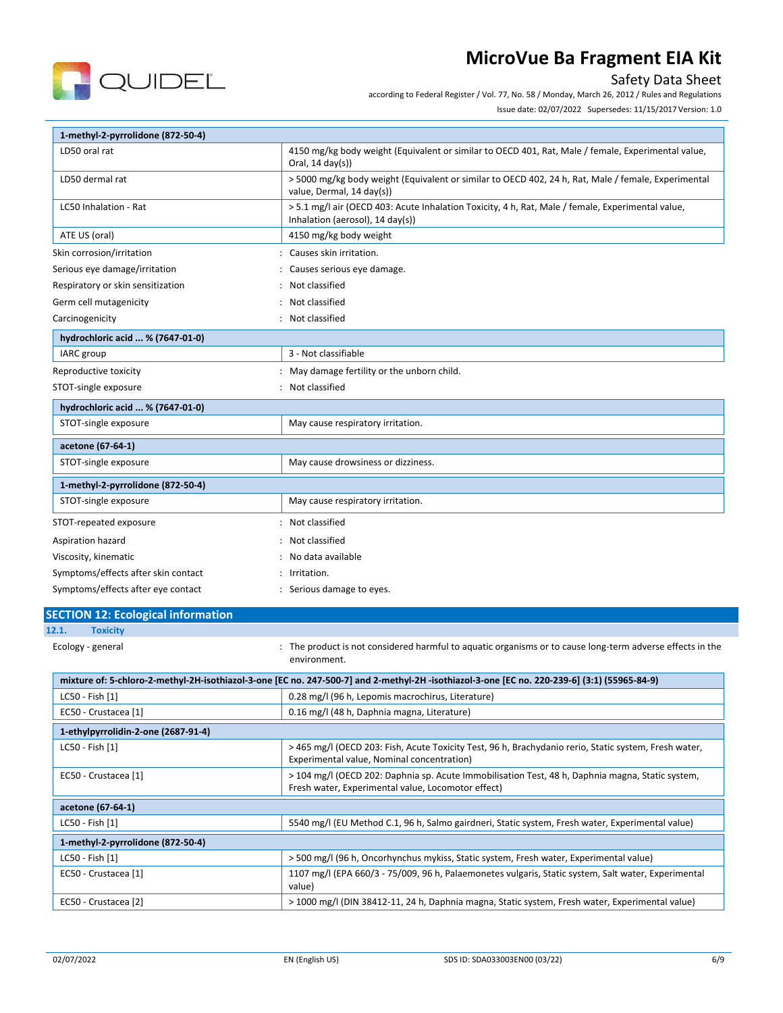

## Safety Data Sheet

according to Federal Register / Vol. 77, No. 58 / Monday, March 26, 2012 / Rules and Regulations

Issue date: 02/07/2022 Supersedes: 11/15/2017 Version: 1.0

| 1-methyl-2-pyrrolidone (872-50-4)         |                                                                                                                                                        |  |
|-------------------------------------------|--------------------------------------------------------------------------------------------------------------------------------------------------------|--|
| LD50 oral rat                             | 4150 mg/kg body weight (Equivalent or similar to OECD 401, Rat, Male / female, Experimental value,<br>Oral, $14 \text{ day}(s)$                        |  |
| LD50 dermal rat                           | > 5000 mg/kg body weight (Equivalent or similar to OECD 402, 24 h, Rat, Male / female, Experimental<br>value, Dermal, 14 day(s))                       |  |
| LC50 Inhalation - Rat                     | > 5.1 mg/l air (OECD 403: Acute Inhalation Toxicity, 4 h, Rat, Male / female, Experimental value,<br>Inhalation (aerosol), $14 \text{ day}(s)$ )       |  |
| ATE US (oral)                             | 4150 mg/kg body weight                                                                                                                                 |  |
| Skin corrosion/irritation                 | : Causes skin irritation.                                                                                                                              |  |
| Serious eye damage/irritation             | : Causes serious eye damage.                                                                                                                           |  |
| Respiratory or skin sensitization         | Not classified                                                                                                                                         |  |
| Germ cell mutagenicity                    | : Not classified                                                                                                                                       |  |
| Carcinogenicity                           | : Not classified                                                                                                                                       |  |
| hydrochloric acid  % (7647-01-0)          |                                                                                                                                                        |  |
| IARC group                                | 3 - Not classifiable                                                                                                                                   |  |
| Reproductive toxicity                     | : May damage fertility or the unborn child.                                                                                                            |  |
| STOT-single exposure<br>: Not classified  |                                                                                                                                                        |  |
| hydrochloric acid  % (7647-01-0)          |                                                                                                                                                        |  |
| STOT-single exposure                      | May cause respiratory irritation.                                                                                                                      |  |
| acetone (67-64-1)                         |                                                                                                                                                        |  |
| STOT-single exposure                      | May cause drowsiness or dizziness.                                                                                                                     |  |
| 1-methyl-2-pyrrolidone (872-50-4)         |                                                                                                                                                        |  |
| STOT-single exposure                      | May cause respiratory irritation.                                                                                                                      |  |
| STOT-repeated exposure                    | Not classified                                                                                                                                         |  |
| Aspiration hazard                         | : Not classified                                                                                                                                       |  |
| Viscosity, kinematic                      | No data available                                                                                                                                      |  |
| Symptoms/effects after skin contact       | : Irritation.                                                                                                                                          |  |
| Symptoms/effects after eye contact        | : Serious damage to eyes.                                                                                                                              |  |
| <b>SECTION 12: Ecological information</b> |                                                                                                                                                        |  |
| 12.1.<br><b>Toxicity</b>                  |                                                                                                                                                        |  |
| Ecology - general                         | The product is not considered harmful to aquatic organisms or to cause long-term adverse effects in the<br>environment.                                |  |
|                                           | mixture of: 5-chloro-2-methyl-2H-isothiazol-3-one [EC no. 247-500-7] and 2-methyl-2H-isothiazol-3-one [EC no. 220-239-6] (3:1) (55965-84-9)            |  |
| LC50 - Fish [1]                           | 0.28 mg/l (96 h, Lepomis macrochirus, Literature)                                                                                                      |  |
| EC50 - Crustacea [1]                      | 0.16 mg/l (48 h, Daphnia magna, Literature)                                                                                                            |  |
| 1-ethylpyrrolidin-2-one (2687-91-4)       |                                                                                                                                                        |  |
| LC50 - Fish [1]                           | > 465 mg/l (OECD 203: Fish, Acute Toxicity Test, 96 h, Brachydanio rerio, Static system, Fresh water,<br>Experimental value, Nominal concentration)    |  |
| EC50 - Crustacea [1]                      | > 104 mg/l (OECD 202: Daphnia sp. Acute Immobilisation Test, 48 h, Daphnia magna, Static system,<br>Fresh water, Experimental value, Locomotor effect) |  |
| acetone (67-64-1)                         |                                                                                                                                                        |  |
| LC50 - Fish [1]                           | 5540 mg/l (EU Method C.1, 96 h, Salmo gairdneri, Static system, Fresh water, Experimental value)                                                       |  |
| 1-methyl-2-pyrrolidone (872-50-4)         |                                                                                                                                                        |  |
| LC50 - Fish [1]                           | > 500 mg/l (96 h, Oncorhynchus mykiss, Static system, Fresh water, Experimental value)                                                                 |  |
| EC50 - Crustacea [1]                      | 1107 mg/l (EPA 660/3 - 75/009, 96 h, Palaemonetes vulgaris, Static system, Salt water, Experimental<br>value)                                          |  |
| EC50 - Crustacea [2]                      | > 1000 mg/l (DIN 38412-11, 24 h, Daphnia magna, Static system, Fresh water, Experimental value)                                                        |  |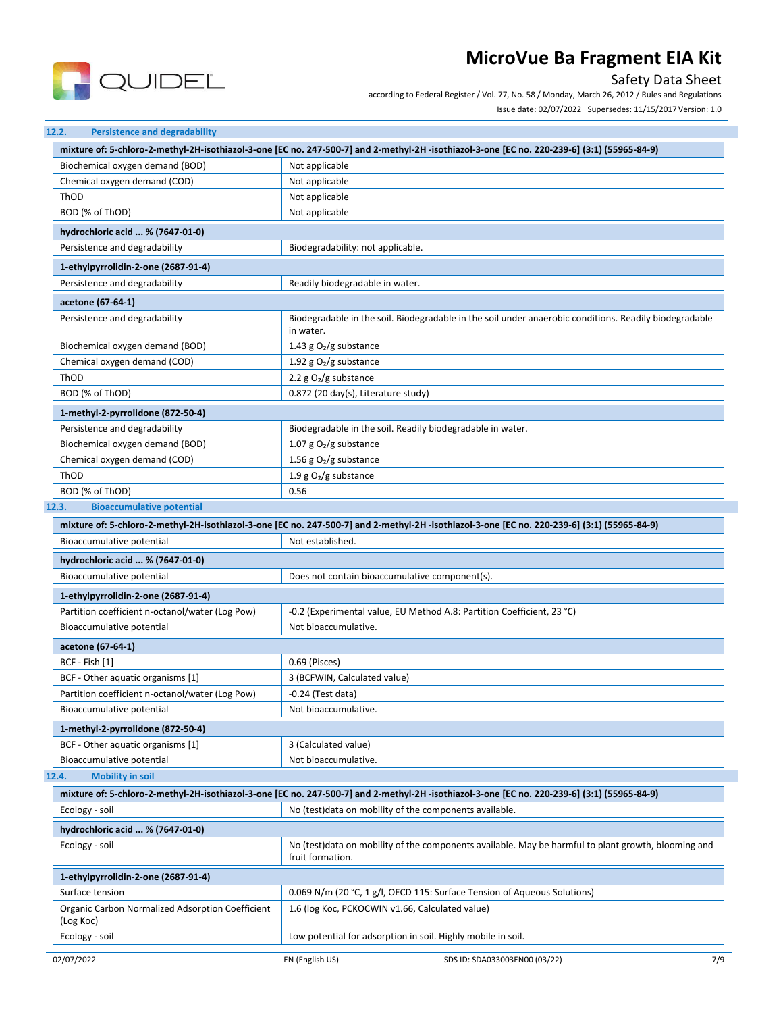

## Safety Data Sheet

according to Federal Register / Vol. 77, No. 58 / Monday, March 26, 2012 / Rules and Regulations

Issue date: 02/07/2022 Supersedes: 11/15/2017 Version: 1.0

| <b>Persistence and degradability</b><br>12.2.                        |                                                                                                                                                                                                       |  |  |
|----------------------------------------------------------------------|-------------------------------------------------------------------------------------------------------------------------------------------------------------------------------------------------------|--|--|
|                                                                      | mixture of: 5-chloro-2-methyl-2H-isothiazol-3-one [EC no. 247-500-7] and 2-methyl-2H -isothiazol-3-one [EC no. 220-239-6] (3:1) (55965-84-9)                                                          |  |  |
| Biochemical oxygen demand (BOD)                                      | Not applicable                                                                                                                                                                                        |  |  |
| Chemical oxygen demand (COD)                                         | Not applicable                                                                                                                                                                                        |  |  |
| ThOD                                                                 | Not applicable                                                                                                                                                                                        |  |  |
| BOD (% of ThOD)                                                      | Not applicable                                                                                                                                                                                        |  |  |
| hydrochloric acid  % (7647-01-0)                                     |                                                                                                                                                                                                       |  |  |
| Persistence and degradability                                        | Biodegradability: not applicable.                                                                                                                                                                     |  |  |
|                                                                      |                                                                                                                                                                                                       |  |  |
| 1-ethylpyrrolidin-2-one (2687-91-4)<br>Persistence and degradability | Readily biodegradable in water.                                                                                                                                                                       |  |  |
|                                                                      |                                                                                                                                                                                                       |  |  |
| acetone (67-64-1)                                                    |                                                                                                                                                                                                       |  |  |
| Persistence and degradability                                        | Biodegradable in the soil. Biodegradable in the soil under anaerobic conditions. Readily biodegradable<br>in water.                                                                                   |  |  |
| Biochemical oxygen demand (BOD)                                      | 1.43 g $O2/g$ substance                                                                                                                                                                               |  |  |
| Chemical oxygen demand (COD)                                         | 1.92 g $O2/g$ substance                                                                                                                                                                               |  |  |
| ThOD                                                                 | 2.2 $g O2/g$ substance                                                                                                                                                                                |  |  |
| BOD (% of ThOD)                                                      | 0.872 (20 day(s), Literature study)                                                                                                                                                                   |  |  |
| 1-methyl-2-pyrrolidone (872-50-4)                                    |                                                                                                                                                                                                       |  |  |
| Persistence and degradability                                        | Biodegradable in the soil. Readily biodegradable in water.                                                                                                                                            |  |  |
| Biochemical oxygen demand (BOD)                                      | 1.07 g $O_2/g$ substance                                                                                                                                                                              |  |  |
| Chemical oxygen demand (COD)                                         | 1.56 g $O_2/g$ substance                                                                                                                                                                              |  |  |
| ThOD                                                                 | 1.9 g $O_2/g$ substance                                                                                                                                                                               |  |  |
| BOD (% of ThOD)                                                      | 0.56                                                                                                                                                                                                  |  |  |
| 12.3.<br><b>Bioaccumulative potential</b>                            |                                                                                                                                                                                                       |  |  |
|                                                                      | mixture of: 5-chloro-2-methyl-2H-isothiazol-3-one [EC no. 247-500-7] and 2-methyl-2H-isothiazol-3-one [EC no. 220-239-6] (3:1) (55965-84-9)                                                           |  |  |
| Bioaccumulative potential                                            | Not established.                                                                                                                                                                                      |  |  |
| hydrochloric acid  % (7647-01-0)                                     |                                                                                                                                                                                                       |  |  |
| Bioaccumulative potential                                            | Does not contain bioaccumulative component(s).                                                                                                                                                        |  |  |
| 1-ethylpyrrolidin-2-one (2687-91-4)                                  |                                                                                                                                                                                                       |  |  |
| Partition coefficient n-octanol/water (Log Pow)                      | -0.2 (Experimental value, EU Method A.8: Partition Coefficient, 23 °C)                                                                                                                                |  |  |
| Bioaccumulative potential                                            | Not bioaccumulative.                                                                                                                                                                                  |  |  |
| acetone (67-64-1)                                                    |                                                                                                                                                                                                       |  |  |
| BCF - Fish [1]                                                       | 0.69 (Pisces)                                                                                                                                                                                         |  |  |
| BCF - Other aquatic organisms [1]                                    | 3 (BCFWIN, Calculated value)                                                                                                                                                                          |  |  |
| Partition coefficient n-octanol/water (Log Pow)                      | -0.24 (Test data)                                                                                                                                                                                     |  |  |
| Bioaccumulative potential                                            | Not bioaccumulative.                                                                                                                                                                                  |  |  |
|                                                                      |                                                                                                                                                                                                       |  |  |
| 1-methyl-2-pyrrolidone (872-50-4)                                    |                                                                                                                                                                                                       |  |  |
| BCF - Other aquatic organisms [1]                                    | 3 (Calculated value)                                                                                                                                                                                  |  |  |
| Bioaccumulative potential                                            | Not bioaccumulative.                                                                                                                                                                                  |  |  |
| 12.4.<br><b>Mobility in soil</b>                                     |                                                                                                                                                                                                       |  |  |
| Ecology - soil                                                       | mixture of: 5-chloro-2-methyl-2H-isothiazol-3-one [EC no. 247-500-7] and 2-methyl-2H-isothiazol-3-one [EC no. 220-239-6] (3:1) (55965-84-9)<br>No (test)data on mobility of the components available. |  |  |
| hydrochloric acid  % (7647-01-0)                                     |                                                                                                                                                                                                       |  |  |
| Ecology - soil                                                       | No (test)data on mobility of the components available. May be harmful to plant growth, blooming and                                                                                                   |  |  |
|                                                                      | fruit formation.                                                                                                                                                                                      |  |  |
| 1-ethylpyrrolidin-2-one (2687-91-4)                                  |                                                                                                                                                                                                       |  |  |
| Surface tension                                                      | 0.069 N/m (20 °C, 1 g/l, OECD 115: Surface Tension of Aqueous Solutions)                                                                                                                              |  |  |
| Organic Carbon Normalized Adsorption Coefficient<br>(Log Koc)        | 1.6 (log Koc, PCKOCWIN v1.66, Calculated value)                                                                                                                                                       |  |  |
| Ecology - soil                                                       | Low potential for adsorption in soil. Highly mobile in soil.                                                                                                                                          |  |  |
| 02/07/2022                                                           | 7/9<br>EN (English US)<br>SDS ID: SDA033003EN00 (03/22)                                                                                                                                               |  |  |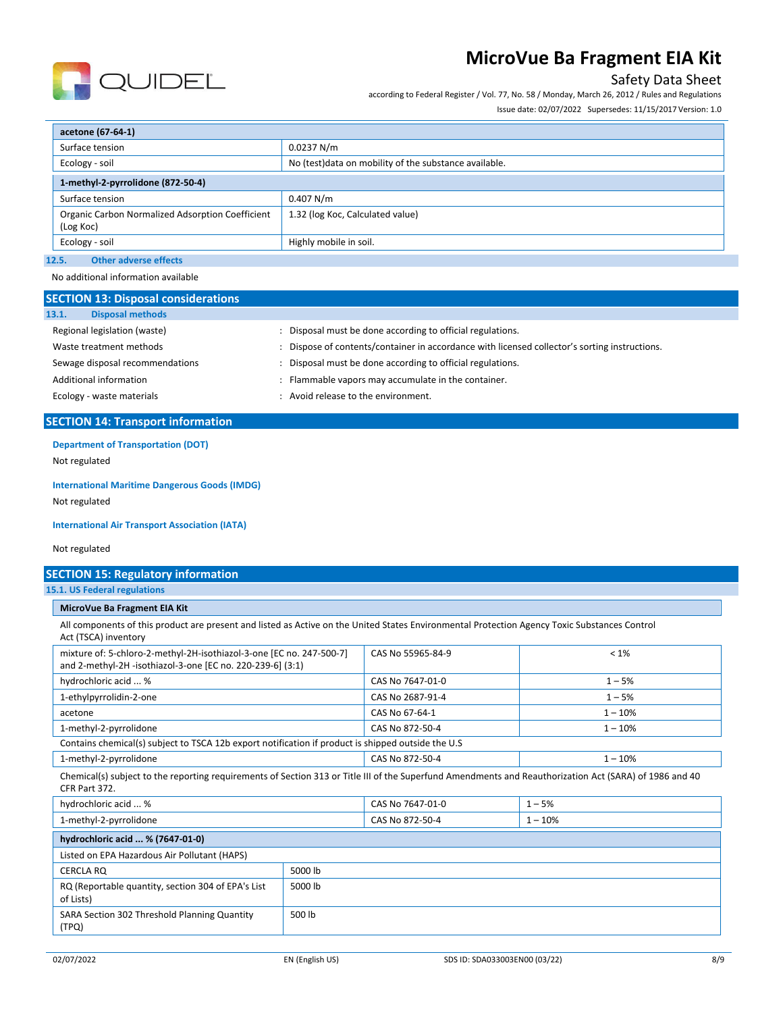

## Safety Data Sheet

according to Federal Register / Vol. 77, No. 58 / Monday, March 26, 2012 / Rules and Regulations

Issue date: 02/07/2022 Supersedes: 11/15/2017 Version: 1.0

| acetone (67-64-1)                                                        |                                  |  |
|--------------------------------------------------------------------------|----------------------------------|--|
| Surface tension                                                          | 0.0237 N/m                       |  |
| No (test) data on mobility of the substance available.<br>Ecology - soil |                                  |  |
| 1-methyl-2-pyrrolidone (872-50-4)                                        |                                  |  |
| Surface tension                                                          | 0.407 N/m                        |  |
| Organic Carbon Normalized Adsorption Coefficient<br>(Log Koc)            | 1.32 (log Koc, Calculated value) |  |
| Ecology - soil                                                           | Highly mobile in soil.           |  |
| <b>Other adverse effects</b><br>12.5.                                    |                                  |  |

No additional information available

| <b>SECTION 13: Disposal considerations</b> |                                                                                             |
|--------------------------------------------|---------------------------------------------------------------------------------------------|
| <b>Disposal methods</b><br>13.1.           |                                                                                             |
| Regional legislation (waste)               | Disposal must be done according to official regulations.                                    |
| Waste treatment methods                    | Dispose of contents/container in accordance with licensed collector's sorting instructions. |
| Sewage disposal recommendations            | Disposal must be done according to official regulations.                                    |
| Additional information                     | Flammable vapors may accumulate in the container.                                           |
| Ecology - waste materials                  | Avoid release to the environment.                                                           |

## **SECTION 14: Transport information**

### **Department of Transportation (DOT)**

Not regulated

### **International Maritime Dangerous Goods (IMDG)**

Not regulated

#### **International Air Transport Association (IATA)**

Not regulated

## **SECTION 15: Regulatory information**

**15.1. US Federal regulations**

### **MicroVue Ba Fragment EIA Kit**

All components of this product are present and listed as Active on the United States Environmental Protection Agency Toxic Substances Control Act (TSCA) inventory

| mixture of: 5-chloro-2-methyl-2H-isothiazol-3-one [EC no. 247-500-7]<br>and 2-methyl-2H -isothiazol-3-one [EC no. 220-239-6] (3:1)                                       | CAS No 55965-84-9 | $< 1\%$   |  |
|--------------------------------------------------------------------------------------------------------------------------------------------------------------------------|-------------------|-----------|--|
| hydrochloric acid  %                                                                                                                                                     | CAS No 7647-01-0  | $1 - 5%$  |  |
| 1-ethylpyrrolidin-2-one                                                                                                                                                  | CAS No 2687-91-4  | $1 - 5%$  |  |
| acetone                                                                                                                                                                  | CAS No 67-64-1    | $1 - 10%$ |  |
| 1-methyl-2-pyrrolidone                                                                                                                                                   | CAS No 872-50-4   | $1 - 10%$ |  |
| Contains chemical(s) subject to TSCA 12b export notification if product is shipped outside the U.S                                                                       |                   |           |  |
| 1-methyl-2-pyrrolidone                                                                                                                                                   | CAS No 872-50-4   | $1 - 10%$ |  |
| Chemical(s) subject to the reporting requirements of Section 313 or Title III of the Superfund Amendments and Reauthorization Act (SARA) of 1986 and 40<br>CFR Part 372. |                   |           |  |
| hydrochloric acid  %                                                                                                                                                     | CAS No 7647-01-0  | $1 - 5%$  |  |
| 1-methyl-2-pyrrolidone                                                                                                                                                   | CAS No 872-50-4   | $1 - 10%$ |  |

| hydrochloric acid  % (7647-01-0)                                |         |  |  |
|-----------------------------------------------------------------|---------|--|--|
| Listed on EPA Hazardous Air Pollutant (HAPS)                    |         |  |  |
| CERCLA RQ                                                       | 5000 lb |  |  |
| RQ (Reportable quantity, section 304 of EPA's List<br>of Lists) | 5000 lb |  |  |
| SARA Section 302 Threshold Planning Quantity<br>(TPQ)           | 500 lb  |  |  |